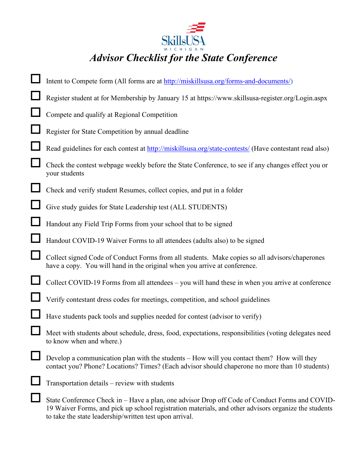

| Intent to Compete form (All forms are at http://miskillsusa.org/forms-and-documents/)                                                                                                       |
|---------------------------------------------------------------------------------------------------------------------------------------------------------------------------------------------|
| Register student at for Membership by January 15 at https://www.skillsusa-register.org/Login.aspx                                                                                           |
| Compete and qualify at Regional Competition                                                                                                                                                 |
| Register for State Competition by annual deadline                                                                                                                                           |
| Read guidelines for each contest at http://miskillsusa.org/state-contests/ (Have contestant read also)                                                                                      |
| Check the contest webpage weekly before the State Conference, to see if any changes effect you or<br>your students                                                                          |
| Check and verify student Resumes, collect copies, and put in a folder                                                                                                                       |
| Give study guides for State Leadership test (ALL STUDENTS)                                                                                                                                  |
| Handout any Field Trip Forms from your school that to be signed                                                                                                                             |
| Handout COVID-19 Waiver Forms to all attendees (adults also) to be signed                                                                                                                   |
| Collect signed Code of Conduct Forms from all students. Make copies so all advisors/chaperones<br>have a copy. You will hand in the original when you arrive at conference.                 |
| Collect COVID-19 Forms from all attendees - you will hand these in when you arrive at conference                                                                                            |
| Verify contestant dress codes for meetings, competition, and school guidelines                                                                                                              |
| Have students pack tools and supplies needed for contest (advisor to verify)                                                                                                                |
| Meet with students about schedule, dress, food, expectations, responsibilities (voting delegates need<br>to know when and where.)                                                           |
| Develop a communication plan with the students – How will you contact them? How will they<br>contact you? Phone? Locations? Times? (Each advisor should chaperone no more than 10 students) |
| Transportation details – review with students                                                                                                                                               |
| State Conference Check in – Have a plan, one advisor Drop off Code of Conduct Forms and COVID-                                                                                              |

19 Waiver Forms, and pick up school registration materials, and other advisors organize the students to take the state leadership/written test upon arrival.